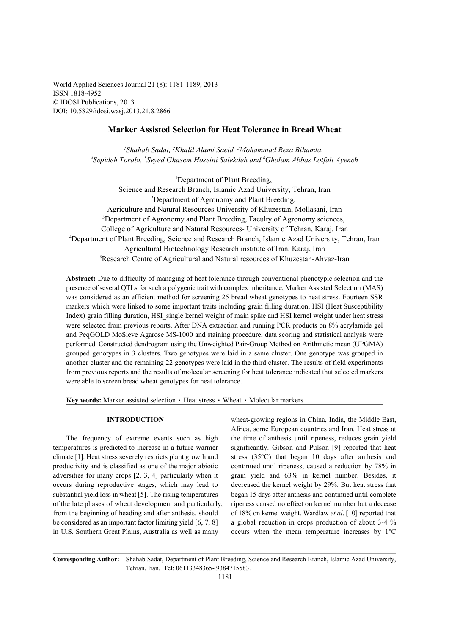World Applied Sciences Journal 21 (8): 1181-1189, 2013 ISSN 1818-4952 © IDOSI Publications, 2013 DOI: 10.5829/idosi.wasj.2013.21.8.2866

# **Marker Assisted Selection for Heat Tolerance in Bread Wheat**

<sup>1</sup> Shahab Sadat, <sup>2</sup> Khalil Alami Saeid, <sup>3</sup> Mohammad Reza Bihamta, <sup>4</sup> Sepideh Torabi, <sup>5</sup> Seyed Ghasem Hoseini Salekdeh and <sup>6</sup> Gholam Abbas Lotfali Ayeneh

<sup>1</sup>Department of Plant Breeding, Science and Research Branch, Islamic Azad University, Tehran, Iran <sup>2</sup>Department of Agronomy and Plant Breeding, Agriculture and Natural Resources University of Khuzestan, Mollasani, Iran <sup>3</sup>Department of Agronomy and Plant Breeding, Faculty of Agronomy sciences, College of Agriculture and Natural Resources- University of Tehran, Karaj, Iran Department of Plant Breeding, Science and Research Branch, Islamic Azad University, Tehran, Iran <sup>4</sup> Agricultural Biotechnology Research institute of Iran, Karaj, Iran <sup>6</sup>Research Centre of Agricultural and Natural resources of Khuzestan-Ahvaz-Iran

**Abstract:** Due to difficulty of managing of heat tolerance through conventional phenotypic selection and the presence of several QTLs for such a polygenic trait with complex inheritance, Marker Assisted Selection (MAS) was considered as an efficient method for screening 25 bread wheat genotypes to heat stress. Fourteen SSR markers which were linked to some important traits including grain filling duration, HSI (Heat Susceptibility Index) grain filling duration, HSI\_single kernel weight of main spike and HSI kernel weight under heat stress were selected from previous reports. After DNA extraction and running PCR products on 8% acrylamide gel and PeqGOLD MoSieve Agarose MS-1000 and staining procedure, data scoring and statistical analysis were performed. Constructed dendrogram using the Unweighted Pair-Group Method on Arithmetic mean (UPGMA) grouped genotypes in 3 clusters. Two genotypes were laid in a same cluster. One genotype was grouped in another cluster and the remaining 22 genotypes were laid in the third cluster. The results of field experiments from previous reports and the results of molecular screening for heat tolerance indicated that selected markers were able to screen bread wheat genotypes for heat tolerance.

Key words: Marker assisted selection · Heat stress · Wheat · Molecular markers

temperatures is predicted to increase in a future warmer significantly. Gibson and Pulson [9] reported that heat climate [1]. Heat stress severely restricts plant growth and stress (35°C) that began 10 days after anthesis and productivity and is classified as one of the major abiotic continued until ripeness, caused a reduction by 78% in adversities for many crops [2, 3, 4] particularly when it grain yield and 63% in kernel number. Besides, it occurs during reproductive stages, which may lead to decreased the kernel weight by 29%. But heat stress that substantial yield loss in wheat [5]. The rising temperatures began 15 days after anthesis and continued until complete of the late phases of wheat development and particularly, ripeness caused no effect on kernel number but a decease from the beginning of heading and after anthesis, should of 18% on kernel weight. Wardlaw *et al*. [10] reported that be considered as an important factor limiting yield [6, 7, 8] a global reduction in crops production of about 3-4 % in U.S. Southern Great Plains, Australia as well as many occurs when the mean temperature increases by 1°C

**INTRODUCTION** wheat-growing regions in China, India, the Middle East, The frequency of extreme events such as high the time of anthesis until ripeness, reduces grain yield Africa, some European countries and Iran. Heat stress at

**Corresponding Author:** Shahab Sadat, Department of Plant Breeding, Science and Research Branch, Islamic Azad University, Tehran, Iran. Tel: 06113348365- 9384715583.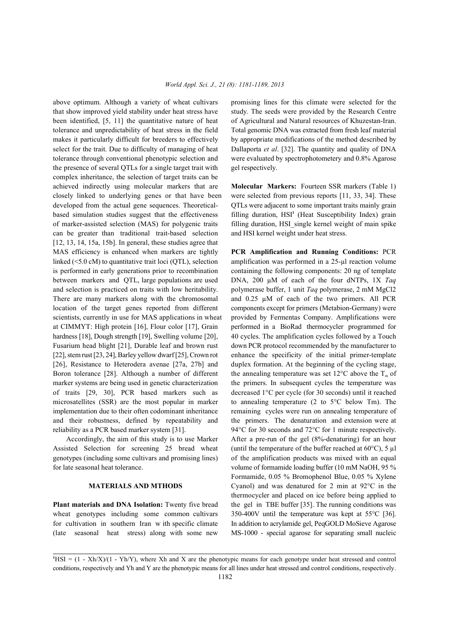that show improved yield stability under heat stress have study. The seeds were provided by the Research Centre been identified, [5, 11] the quantitative nature of heat of Agricultural and Natural resources of Khuzestan-Iran. tolerance and unpredictability of heat stress in the field Total genomic DNA was extracted from fresh leaf material makes it particularly difficult for breeders to effectively by appropriate modifications of the method described by select for the trait. Due to difficulty of managing of heat Dallaporta *et al*. [32]. The quantity and quality of DNA tolerance through conventional phenotypic selection and were evaluated by spectrophotometery and 0.8% Agarose the presence of several QTLs for a single target trait with gel respectively. complex inheritance, the selection of target traits can be achieved indirectly using molecular markers that are **Molecular Markers:** Fourteen SSR markers (Table 1) closely linked to underlying genes or that have been were selected from previous reports [11, 33, 34]. These developed from the actual gene sequences. Theoretical- QTLs were adjacent to some important traits mainly grain based simulation studies suggest that the effectiveness of marker-assisted selection (MAS) for polygenic traits filling duration, HSI\_single kernel weight of main spike can be greater than traditional trait-based selection and HSI kernel weight under heat stress. [12, 13, 14, 15a, 15b]. In general, these studies agree that MAS efficiency is enhanced when markers are tightly **PCR Amplification and Running Conditions:** PCR linked ( $\leq$ 5.0 cM) to quantitative trait loci (QTL), selection amplification was performed in a 25-µl reaction volume is performed in early generations prior to recombination containing the following components: 20 ng of template between markers and QTL, large populations are used DNA, 200 µM of each of the four dNTPs, 1X *Taq* and selection is practiced on traits with low heritability. polymerase buffer, 1 unit *Taq* polymerase, 2 mM MgCl2 There are many markers along with the chromosomal and 0.25  $\mu$ M of each of the two primers. All PCR location of the target genes reported from different components except for primers (Metabion-Germany) were scientists, currently in use for MAS applications in wheat provided by Fermentas Company. Amplifications were at CIMMYT: High protein [16], Flour color [17], Grain performed in a BioRad thermocycler programmed for hardness [18], Dough strength [19], Swelling volume [20], 40 cycles. The amplification cycles followed by a Touch Fusarium head blight [21], Durable leaf and brown rust down PCR protocol recommended by the manufacturer to [22], stem rust [23, 24], Barley yellow dwarf [25], Crown rot enhance the specificity of the initial primer-template [26], Resistance to Heterodera avenae [27a, 27b] and duplex formation. At the beginning of the cycling stage, Boron tolerance [28]. Although a number of different marker systems are being used in genetic characterization the primers. In subsequent cycles the temperature was of traits [29, 30], PCR based markers such as decreased 1°C per cycle (for 30 seconds) until it reached microsatellites (SSR) are the most popular in marker to annealing temperature (2 to 5°C below Tm). The implementation due to their often codominant inheritance remaining cycles were run on annealing temperature of and their robustness, defined by repeatability and the primers. The denaturation and extension were at

Assisted Selection for screening 25 bread wheat (until the temperature of the buffer reached at 60°C), 5 µl genotypes (including some cultivars and promising lines) of the amplification products was mixed with an equal for late seasonal heat tolerance. volume of formamide loading buffer (10 mM NaOH, 95 %

**Plant materials and DNA Isolation:** Twenty five bread the gel in TBE buffer [35]. The running conditions was wheat genotypes including some common cultivars 350-400V until the temperature was kept at 55°C [36]. for cultivation in southern Iran w ith specific climate In addition to acrylamide gel, PeqGOLD MoSieve Agarose (late seasonal heat stress) along with some new MS-1000 - special agarose for separating small nucleic

above optimum. Although a variety of wheat cultivars promising lines for this climate were selected for the

filling duration, HSI<sup>1</sup> (Heat Susceptibility Index) grain

reliability as a PCR based marker system [31]. 94°C for 30 seconds and 72°C for 1 minute respectively. Accordingly, the aim of this study is to use Marker After a pre-run of the gel (8%-denaturing) for an hour **MATERIALS AND MTHODS** Cyanol) and was denatured for 2 min at 92 °C in the the annealing temperature was set 12 $\rm{^{\circ}C}$  above the T<sub>m</sub> of Formamide, 0.05 % Bromophenol Blue, 0.05 % Xylene thermocycler and placed on ice before being applied to

 $HSI = (1 - Xh/X)/(1 - Yh/Y)$ , where Xh and X are the phenotypic means for each genotype under heat stressed and control conditions, respectively and Yh and Y are the phenotypic means for all lines under heat stressed and control conditions, respectively.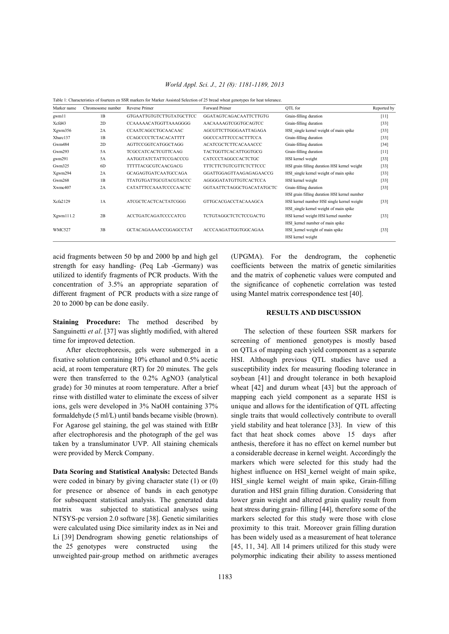| World Appl. Sci. J., 21 (8): 1181-1189, 2013 |  |  |  |  |
|----------------------------------------------|--|--|--|--|
|----------------------------------------------|--|--|--|--|

| Marker name   | Chromosome number | Reverse Primer                | Forward Primer                | OTL for                                      | Reported by |
|---------------|-------------------|-------------------------------|-------------------------------|----------------------------------------------|-------------|
| gwm11         | 1B                | GTGAATTGTGTCTTGTATGCTTCC      | <b>GGATAGTCAGACAATTCTTGTG</b> | Grain-filling duration                       | $[11]$      |
| Xcfd43        | 2D                | CCAAAAACATGGTTAAAGGGG         | <b>AACAAAAGTCGGTGCAGTCC</b>   | Grain-filling duration                       | $[33]$      |
| Xgwm356       | 2A                | CCAATCAGCCTGCAACAAC           | AGCGTTCTTGGGAATTAGAGA         | HSI single kernel weight of main spike       | $[33]$      |
| Xbarc137      | 1B                | <b>CCAGCCCCTCTACACATTTT</b>   | <b>GGCCCATTTCCCACTTTCCA</b>   | Grain-filling duration                       | $[33]$      |
| Gwm484        | 2D                | AGTTCCGGTCATGGCTAGG           | ACATCGCTCTTCACAAACCC          | Grain-filling duration                       | $[34]$      |
| Gwm293        | 5A                | <b>TCGCCATCACTCGTTCAAG</b>    | TACTGGTTCACATTGGTGCG          | Grain-filling duration                       | $[11]$      |
| gwm291        | 5A                | AATGGTATCTATTCCGACCCG         | CATCCCTAGGCCACTCTGC           | HSI kernel weight                            | $[33]$      |
| Gwm325        | 6D                | <b>TTTTTACGCGTCAACGACG</b>    | <b>TTTCTTCTGTCGTTCTCTTCCC</b> | HSI grain filling duration HSI kernel weight | $[33]$      |
| Xgwm294       | 2A                | GCAGAGTGATCAATGCCAGA          | GGATTGGAGTTAAGAGAGAACCG       | HSI single kernel weight of main spike       | $[33]$      |
| Gwm268        | 1B                | <b>TTATGTGATTGCGTACGTACCC</b> | AGGGGATATGTTGTCACTCCA         | HSI kernel weight                            | $[33]$      |
| Xwmc407       | 2A                | CATATTTCCAAATCCCCAACTC        | GGTAATTCTAGGCTGACATATGCTC     | Grain-filling duration                       | $[33]$      |
|               |                   |                               |                               | HSI grain filling duration HSI kernel number |             |
| Xcfa2129      | 1A                | ATCGCTCACTCACTATCGGG          | <b>GTTGCACGACCTACAAAGCA</b>   | HSI kernel number HSI single kernel weight   | $[33]$      |
|               |                   |                               |                               | HSI single kernel weight of main spike       |             |
| Xgwm111.2     | 2B                | <b>ACCTGATCAGATCCCCATCG</b>   | TCTGTAGGCTCTCTCCGACTG         | HSI kernel weight HSI kernel number          | $[33]$      |
|               |                   |                               |                               | HSI kernel number of main spike              |             |
| <b>WMC527</b> | 3B                | GCTACAGAAAACCGGAGCCTAT        | <b>ACCCAAGATTGGTGGCAGAA</b>   | HSI kernel weight of main spike              | $[33]$      |
|               |                   |                               |                               | HSI kernel weight                            |             |

Table 1: Characteristics of fourteen en SSR markers for Marker Assisted Selection of 25 bread wheat genotypes for heat tolerance.

acid fragments between 50 bp and 2000 bp and high gel (UPGMA). For the dendrogram, the cophenetic strength for easy handling- (Peq Lab -Germany) was coefficients between the matrix of genetic similarities utilized to identify fragments of PCR products. With the and the matrix of cophenetic values were computed and concentration of 3.5% an appropriate separation of the significance of cophenetic correlation was tested different fragment of PCR products with a size range of using Mantel matrix correspondence test [40]. 20 to 2000 bp can be done easily.

**Staining Procedure:** The method described by Sanguinetti *et al.* [37] was slightly modified, with altered The selection of these fourteen SSR markers for time for improved detection. Screening of mentioned genotypes is mostly based

fixative solution containing 10% ethanol and 0.5% acetic HSI. Although previous QTL studies have used a acid, at room temperature (RT) for 20 minutes. The gels susceptibility index for measuring flooding tolerance in were then transferred to the 0.2% AgNO3 (analytical soybean [41] and drought tolerance in both hexaploid grade) for 30 minutes at room temperature. After a brief wheat [42] and durum wheat [43] but the approach of rinse with distilled water to eliminate the excess of silver mapping each yield component as a separate HSI is ions, gels were developed in 3% NaOH containing 37% unique and allows for the identification of QTL affecting formaldehyde (5 ml/L) until bands became visible (brown). single traits that would collectively contribute to overall For Agarose gel staining, the gel was stained with EtBr yield stability and heat tolerance [33]. In view of this after electrophoresis and the photograph of the gel was fact that heat shock comes above 15 days after taken by a transluminator UVP. All staining chemicals anthesis, therefore it has no effect on kernel number but were provided by Merck Company.  $\blacksquare$  a considerable decrease in kernel weight. Accordingly the

were coded in binary by giving character state (1) or (0) HSI\_single kernel weight of main spike, Grain-filling for presence or absence of bands in each genotype duration and HSI grain filling duration. Considering that for subsequent statistical analysis. The generated data lower grain weight and altered grain quality result from matrix was subjected to statistical analyses using heat stress during grain- filling [44], therefore some of the NTSYS-pc version 2.0 software [38]. Genetic similarities markers selected for this study were those with close were calculated using Dice similarity index as in Nei and proximity to this trait. Moreover grain filling duration Li [39] Dendrogram showing genetic relationships of has been widely used as a measurement of heat tolerance the 25 genotypes were constructed using the [45, 11, 34]. All 14 primers utilized for this study were unweighted pair-group method on arithmetic averages polymorphic indicating their ability to assess mentioned

# **RESULTS AND DISCUSSION**

After electrophoresis, gels were submerged in a on QTLs of mapping each yield component as a separate **Data Scoring and Statistical Analysis:** Detected Bands highest influence on HSI\_kernel weight of main spike, markers which were selected for this study had the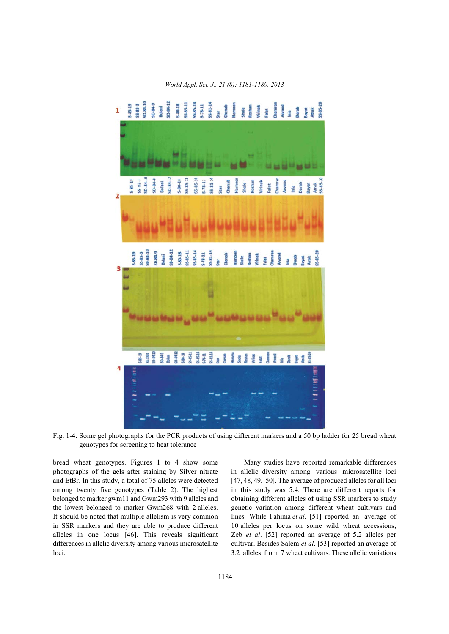

*World Appl. Sci. J., 21 (8): 1181-1189, 2013*

Fig. 1-4: Some gel photographs for the PCR products of using different markers and a 50 bp ladder for 25 bread wheat genotypes for screening to heat tolerance

photographs of the gels after staining by Silver nitrate in allelic diversity among various microsatellite loci and EtBr. In this study, a total of 75 alleles were detected [47, 48, 49, 50]. The average of produced alleles for all loci among twenty five genotypes (Table 2). The highest in this study was 5.4. There are different reports for belonged to marker gwm11 and Gwm293 with 9 alleles and obtaining different alleles of using SSR markers to study the lowest belonged to marker Gwm268 with 2 alleles. genetic variation among different wheat cultivars and It should be noted that multiple allelism is very common lines. While Fahima *et al*. [51] reported an average of in SSR markers and they are able to produce different 10 alleles per locus on some wild wheat accessions, alleles in one locus [46]. This reveals significant Zeb *et al*. [52] reported an average of 5.2 alleles per differences in allelic diversity among various microsatellite cultivar. Besides Salem *et al*. [53] reported an average of loci. 3.2 alleles from 7 wheat cultivars. These allelic variations

bread wheat genotypes. Figures 1 to 4 show some Many studies have reported remarkable differences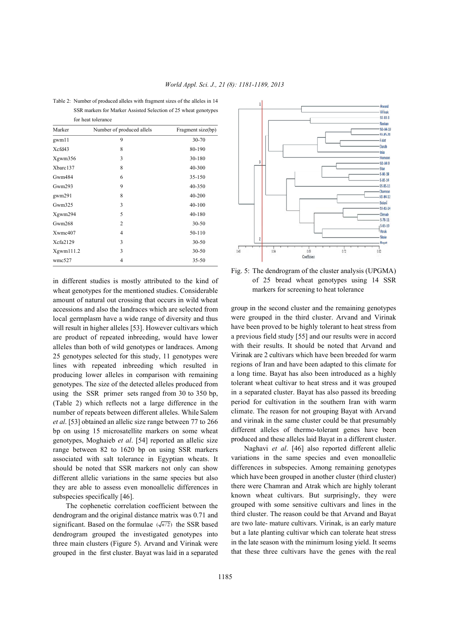| for heat tolerance |                           |                   |  |  |
|--------------------|---------------------------|-------------------|--|--|
| Marker             | Number of produced allels | Fragment size(bp) |  |  |
| gwm11              | 9                         | 30-70             |  |  |
| Xefd43             | 8                         | 80-190            |  |  |
| Xgwm356            | 3                         | 30-180            |  |  |
| Xbarc137           | 8                         | 40-300            |  |  |
| Gwm484             | 6                         | 35-150            |  |  |
| Gwm293             | 9                         | 40-350            |  |  |
| gwm291             | 8                         | 40-200            |  |  |
| Gwm325             | 3                         | 40-100            |  |  |
| Xgwm294            | 5                         | 40-180            |  |  |
| Gwm268             | 2                         | $30 - 50$         |  |  |
| Xwmc407            | $\overline{4}$            | 50-110            |  |  |
| Xcfa2129           | 3                         | $30 - 50$         |  |  |

Xgwm111.2 3 30-50 wmc527 4 35-50

Table 2: Number of produced alleles with fragment sizes of the alleles in 14 SSR markers for Marker Assisted Selection of 25 wheat genotypes

in different studies is mostly attributed to the kind of wheat genotypes for the mentioned studies. Considerable amount of natural out crossing that occurs in wild wheat accessions and also the landraces which are selected from local germplasm have a wide range of diversity and thus will result in higher alleles [53]. However cultivars which are product of repeated inbreeding, would have lower alleles than both of wild genotypes or landraces. Among 25 genotypes selected for this study, 11 genotypes were lines with repeated inbreeding which resulted in producing lower alleles in comparison with remaining genotypes. The size of the detected alleles produced from using the SSR primer sets ranged from 30 to 350 bp, (Table 2) which reflects not a large difference in the number of repeats between different alleles. While Salem *et al*. [53] obtained an allelic size range between 77 to 266 bp on using 15 microsatellite markers on some wheat genotypes, Moghaieb *et al*. [54] reported an allelic size range between 82 to 1620 bp on using SSR markers associated with salt tolerance in Egyptian wheats. It should be noted that SSR markers not only can show different allelic variations in the same species but also they are able to assess even monoallelic differences in subspecies specifically [46].

significant. Based on the formulae  $(\sqrt{n/2})$  the SSR based The cophenetic correlation coefficient between the dendrogram and the original distance matrix was 0.71 and dendrogram grouped the investigated genotypes into three main clusters (Figure 5). Arvand and Virinak were grouped in the first cluster. Bayat was laid in a separated



Fig. 5: The dendrogram of the cluster analysis (UPGMA) of 25 bread wheat genotypes using 14 SSR markers for screening to heat tolerance

group in the second cluster and the remaining genotypes were grouped in the third cluster. Arvand and Virinak have been proved to be highly tolerant to heat stress from a previous field study [55] and our results were in accord with their results. It should be noted that Arvand and Virinak are 2 cultivars which have been breeded for warm regions of Iran and have been adapted to this climate for a long time. Bayat has also been introduced as a highly tolerant wheat cultivar to heat stress and it was grouped in a separated cluster. Bayat has also passed its breeding period for cultivation in the southern Iran with warm climate. The reason for not grouping Bayat with Arvand and virinak in the same cluster could be that presumably different alleles of thermo-tolerant genes have been produced and these alleles laid Bayat in a different cluster.

Naghavi *et al*. [46] also reported different allelic variations in the same species and even monoallelic differences in subspecies. Among remaining genotypes which have been grouped in another cluster (third cluster) there were Chamran and Atrak which are highly tolerant known wheat cultivars. But surprisingly, they were grouped with some sensitive cultivars and lines in the third cluster. The reason could be that Arvand and Bayat are two late- mature cultivars. Virinak, is an early mature but a late planting cultivar which can tolerate heat stress in the late season with the minimum losing yield. It seems that these three cultivars have the genes with the real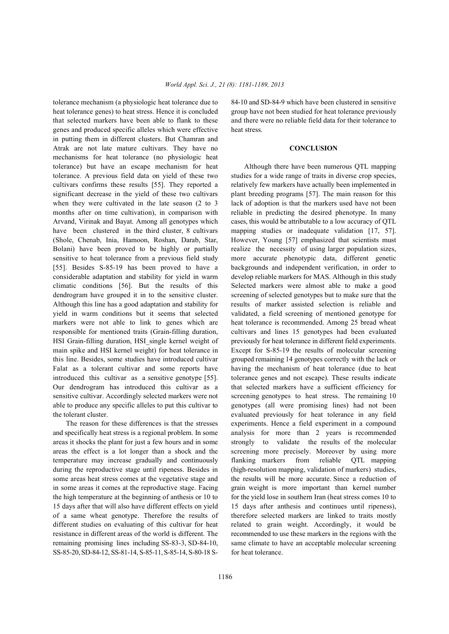heat tolerance genes) to heat stress. Hence it is concluded group have not been studied for heat tolerance previously that selected markers have been able to flank to these and there were no reliable field data for their tolerance to genes and produced specific alleles which were effective heat stress. in putting them in different clusters. But Chamran and Atrak are not late mature cultivars. They have no **CONCLUSION** mechanisms for heat tolerance (no physiologic heat tolerance) but have an escape mechanism for heat Although there have been numerous QTL mapping tolerance. A previous field data on yield of these two studies for a wide range of traits in diverse crop species, cultivars confirms these results [55]. They reported a relatively few markers have actually been implemented in significant decrease in the yield of these two cultivars plant breeding programs [57]. The main reason for this when they were cultivated in the late season  $(2 \text{ to } 3)$  lack of adoption is that the markers used have not been months after on time cultivation), in comparison with reliable in predicting the desired phenotype. In many Arvand, Virinak and Bayat. Among all genotypes which cases, this would be attributable to a low accuracy of QTL have been clustered in the third cluster, 8 cultivars mapping studies or inadequate validation [17, 57]. (Shole, Chenab, Inia, Hamoon, Roshan, Darab, Star, However, Young [57] emphasized that scientists must Bolani) have been proved to be highly or partially realize the necessity of using larger population sizes, sensitive to heat tolerance from a previous field study more accurate phenotypic data, different genetic [55]. Besides S-85-19 has been proved to have a backgrounds and independent verification, in order to considerable adaptation and stability for yield in warm develop reliable markers for MAS. Although in this study climatic conditions [56]. But the results of this Selected markers were almost able to make a good dendrogram have grouped it in to the sensitive cluster. screening of selected genotypes but to make sure that the Although this line has a good adaptation and stability for results of marker assisted selection is reliable and yield in warm conditions but it seems that selected validated, a field screening of mentioned genotype for markers were not able to link to genes which are heat tolerance is recommended. Among 25 bread wheat responsible for mentioned traits (Grain-filling duration, cultivars and lines 15 genotypes had been evaluated HSI Grain-filling duration, HSI\_single kernel weight of previously for heat tolerance in different field experiments. main spike and HSI kernel weight) for heat tolerance in Except for S-85-19 the results of molecular screening this line. Besides, some studies have introduced cultivar grouped remaining 14 genotypes correctly with the lack or Falat as a tolerant cultivar and some reports have having the mechanism of heat tolerance (due to heat introduced this cultivar as a sensitive genotype [55]. tolerance genes and not escape). These results indicate Our dendrogram has introduced this cultivar as a that selected markers have a sufficient efficiency for sensitive cultivar. Accordingly selected markers were not screening genotypes to heat stress. The remaining 10 able to produce any specific alleles to put this cultivar to genotypes (all were promising lines) had not been

and specifically heat stress is a regional problem. In some analysis for more than 2 years is recommended areas it shocks the plant for just a few hours and in some strongly to validate the results of the molecular areas the effect is a lot longer than a shock and the screening more precisely. Moreover by using more temperature may increase gradually and continuously flanking markers from reliable QTL mapping during the reproductive stage until ripeness. Besides in (high-resolution mapping, validation of markers) studies, in some areas it comes at the reproductive stage. Facing grain weight is more important than kernel number the high temperature at the beginning of anthesis or 10 to for the yield lose in southern Iran (heat stress comes 10 to 15 days after that will also have different effects on yield 15 days after anthesis and continues until ripeness), of a same wheat genotype. Therefore the results of therefore selected markers are linked to traits mostly different studies on evaluating of this cultivar for heat related to grain weight. Accordingly, it would be resistance in different areas of the world is different. The recommended to use these markers in the regions with the remaining promising lines including SS-83-3, SD-84-10, same climate to have an acceptable molecular screening SS-85-20, SD-84-12, SS-81-14, S-85-11, S-85-14, S-80-18 S- for heat tolerance.

tolerance mechanism (a physiologic heat tolerance due to 84-10 and SD-84-9 which have been clustered in sensitive

the tolerant cluster. evaluated previously for heat tolerance in any field The reason for these differences is that the stresses experiments. Hence a field experiment in a compound some areas heat stress comes at the vegetative stage and the results will be more accurate. Since a reduction of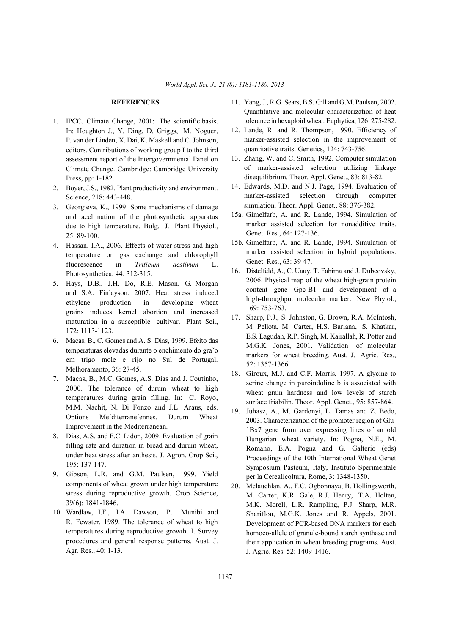- 1. IPCC. Climate Change, 2001: The scientific basis. In: Houghton J., Y. Ding, D. Griggs, M. Noguer, P. van der Linden, X. Dai, K. Maskell and C. Johnson, editors. Contributions of working group I to the third assessment report of the Intergovernmental Panel on Climate Change. Cambridge: Cambridge University Press, pp: 1-182.
- 2. Boyer, J.S., 1982. Plant productivity and environment. Science, 218: 443-448.
- 3. Georgieva, K., 1999. Some mechanisms of damage and acclimation of the photosynthetic apparatus due to high temperature. Bulg. J. Plant Physiol., 25: 89-100.
- 4. Hassan, I.A., 2006. Effects of water stress and high temperature on gas exchange and chlorophyll fluorescence in *Triticum aestivum* L. Photosynthetica, 44: 312-315.
- 5. Hays, D.B., J.H. Do, R.E. Mason, G. Morgan and S.A. Finlayson. 2007. Heat stress induced ethylene production in developing wheat grains induces kernel abortion and increased maturation in a susceptible cultivar. Plant Sci., 172: 1113-1123.
- 6. Macas, B., C. Gomes and A. S. Dias, 1999. Efeito das temperaturas elevadas durante o enchimento do gra˜o em trigo mole e rijo no Sul de Portugal. Melhoramento, 36: 27-45.
- 7. Macas, B., M.C. Gomes, A.S. Dias and J. Coutinho, 2000. The tolerance of durum wheat to high temperatures during grain filling. In: C. Royo, M.M. Nachit, N. Di Fonzo and J.L. Araus, eds. Options Me´diterrane´ennes. Durum Wheat Improvement in the Mediterranean.
- 8. Dias, A.S. and F.C. Lidon, 2009. Evaluation of grain filling rate and duration in bread and durum wheat, under heat stress after anthesis. J. Agron. Crop Sci., 195: 137-147.
- 9. Gibson, L.R. and G.M. Paulsen, 1999. Yield components of wheat grown under high temperature stress during reproductive growth. Crop Science, 39(6): 1841-1846.
- 10. Wardlaw, I.F., I.A. Dawson, P. Munibi and R. Fewster, 1989. The tolerance of wheat to high temperatures during reproductive growth. I. Survey procedures and general response patterns. Aust. J. Agr. Res., 40: 1-13.
- **REFERENCES** 11. Yang, J., R.G. Sears, B.S. Gill and G.M. Paulsen, 2002. Quantitative and molecular characterization of heat tolerance in hexaploid wheat. Euphytica, 126: 275-282.
	- 12. Lande, R. and R. Thompson, 1990. Efficiency of marker-assisted selection in the improvement of quantitative traits. Genetics, 124: 743-756.
	- 13. Zhang, W. and C. Smith, 1992. Computer simulation of marker-assisted selection utilizing linkage disequilibrium. Theor. Appl. Genet., 83: 813-82.
	- 14. Edwards, M.D. and N.J. Page, 1994. Evaluation of marker-assisted selection through computer simulation. Theor. Appl. Genet., 88: 376-382.
	- 15a. Gimelfarb, A. and R. Lande, 1994. Simulation of marker assisted selection for nonadditive traits. Genet. Res., 64: 127-136.
	- 15b. Gimelfarb, A. and R. Lande, 1994. Simulation of marker assisted selection in hybrid populations. Genet. Res., 63: 39-47.
	- 16. Distelfeld, A., C. Uauy, T. Fahima and J. Dubcovsky, 2006. Physical map of the wheat high-grain protein content gene Gpc-B1 and development of a high-throughput molecular marker. New Phytol., 169: 753-763.
	- 17. Sharp, P.J., S. Johnston, G. Brown, R.A. McIntosh, M. Pellota, M. Carter, H.S. Bariana, S. Khatkar, E.S. Lagudah, R.P. Singh, M. Kairallah, R. Potter and M.G.K. Jones, 2001. Validation of molecular markers for wheat breeding. Aust. J. Agric. Res., 52: 1357-1366.
	- 18. Giroux, M.J. and C.F. Morris, 1997. A glycine to serine change in puroindoline b is associated with wheat grain hardness and low levels of starch surface friabilin. Theor. Appl. Genet., 95: 857-864.
	- 19. Juhasz, A., M. Gardonyi, L. Tamas and Z. Bedo, 2003. Characterization of the promoter region of Glu-1Bx7 gene from over expressing lines of an old Hungarian wheat variety. In: Pogna, N.E., M. Romano, E.A. Pogna and G. Galterio (eds) Proceedings of the 10th International Wheat Genet Symposium Pasteum, Italy, Instituto Sperimentale per la Cerealicoltura, Rome, 3: 1348-1350.
	- 20. Mclauchlan, A., F.C. Ogbonnaya, B. Hollingsworth, M. Carter, K.R. Gale, R.J. Henry, T.A. Holten, M.K. Morell, L.R. Rampling, P.J. Sharp, M.R. Shariflou, M.G.K. Jones and R. Appels, 2001. Development of PCR-based DNA markers for each homoeo-allele of granule-bound starch synthase and their application in wheat breeding programs. Aust. J. Agric. Res. 52: 1409-1416.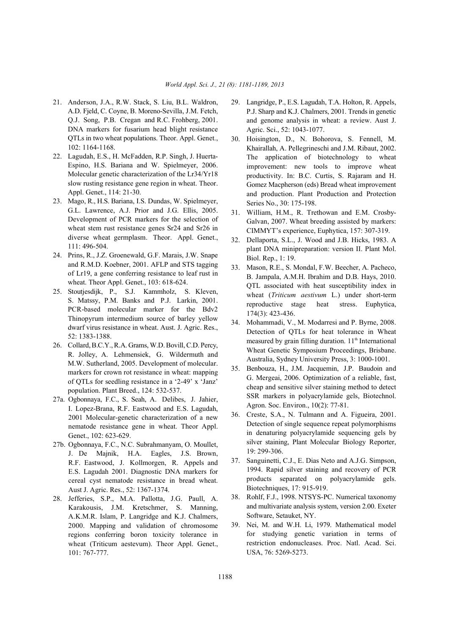- A.D. Fjeld, C. Coyne, B. Moreno-Sevilla, J.M. Fetch, Q.J. Song, P.B. Cregan and R.C. Frohberg, 2001. DNA markers for fusarium head blight resistance QTLs in two wheat populations. Theor. Appl. Genet., 102: 1164-1168.
- 22. Lagudah, E.S., H. McFadden, R.P. Singh, J. Huerta-Espino, H.S. Bariana and W. Spielmeyer, 2006. Molecular genetic characterization of the Lr34/Yr18 slow rusting resistance gene region in wheat. Theor. Appl. Genet., 114: 21-30.
- 23. Mago, R., H.S. Bariana, I.S. Dundas, W. Spielmeyer, G.L. Lawrence, A.J. Prior and J.G. Ellis, 2005. Development of PCR markers for the selection of wheat stem rust resistance genes Sr24 and Sr26 in diverse wheat germplasm. Theor. Appl. Genet., 111: 496-504.
- 24. Prins, R., J.Z. Groenewald, G.F. Marais, J.W. Snape and R.M.D. Koebner, 2001. AFLP and STS tagging of Lr19, a gene conferring resistance to leaf rust in wheat. Theor Appl. Genet., 103: 618-624.
- 25. Stoutjesdijk, P., S.J. Kammholz, S. Kleven, S. Matssy, P.M. Banks and P.J. Larkin, 2001. PCR-based molecular marker for the Bdv2 Thinopyrum intermedium source of barley yellow dwarf virus resistance in wheat. Aust. J. Agric. Res., 52: 1383-1388.
- 26. Collard, B.C.Y., R.A. Grams, W.D. Bovill, C.D. Percy, R. Jolley, A. Lehmensiek, G. Wildermuth and M.W. Sutherland, 2005. Development of molecular. markers for crown rot resistance in wheat: mapping of QTLs for seedling resistance in a '2-49' x 'Janz' population. Plant Breed., 124: 532-537.
- 27a. Ogbonnaya, F.C., S. Seah, A. Delibes, J. Jahier, I. Lopez-Brana, R.F. Eastwood and E.S. Lagudah, 2001 Molecular-genetic characterization of a new nematode resistance gene in wheat. Theor Appl. Genet., 102: 623-629.
- 27b. Ogbonnaya, F.C., N.C. Subrahmanyam, O. Moullet, J. De Majnik, H.A. Eagles, J.S. Brown, R.F. Eastwood, J. Kollmorgen, R. Appels and E.S. Lagudah 2001. Diagnostic DNA markers for cereal cyst nematode resistance in bread wheat. Aust J. Agric. Res., 52: 1367-1374.
- 28. Jefferies, S.P., M.A. Pallotta, J.G. Paull, A. Karakousis, J.M. Kretschmer, S. Manning, A.K.M.R. Islam, P. Langridge and K.J. Chalmers, 2000. Mapping and validation of chromosome regions conferring boron toxicity tolerance in wheat (Triticum aestevum). Theor Appl. Genet., 101: 767-777.
- 21. Anderson, J.A., R.W. Stack, S. Liu, B.L. Waldron, 29. Langridge, P., E.S. Lagudah, T.A. Holton, R. Appels, P.J. Sharp and K.J. Chalmers, 2001. Trends in genetic and genome analysis in wheat: a review. Aust J. Agric. Sci., 52: 1043-1077.
	- 30. Hoisington, D., N. Bohorova, S. Fennell, M. Khairallah, A. Pellegrineschi and J.M. Ribaut, 2002. The application of biotechnology to wheat improvement: new tools to improve wheat productivity. In: B.C. Curtis, S. Rajaram and H. Gomez Macpherson (eds) Bread wheat improvement and production. Plant Production and Protection Series No., 30: 175-198.
	- 31. William, H.M., R. Trethowan and E.M. Crosby-Galvan, 2007. Wheat breeding assisted by markers: CIMMYT's experience, Euphytica, 157: 307-319.
	- 32. Dellaporta, S.L., J. Wood and J.B. Hicks, 1983. A plant DNA minipreparation: version II. Plant Mol. Biol. Rep., 1: 19.
	- 33. Mason, R.E., S. Mondal, F.W. Beecher, A. Pacheco, B. Jampala, A.M.H. Ibrahim and D.B. Hays, 2010. QTL associated with heat susceptibility index in wheat (*Triticum aestivum* L.) under short-term reproductive stage heat stress. Euphytica, 174(3): 423-436.
	- 34. Mohammadi, V., M. Modarresi and P. Byrne, 2008. Detection of QTLs for heat tolerance in Wheat measured by grain filling duration. 11<sup>th</sup> International Wheat Genetic Symposium Proceedings, Brisbane. Australia, Sydney University Press, 3: 1000-1001.
	- 35. Benbouza, H., J.M. Jacquemin, J.P. Baudoin and G. Mergeai, 2006. Optimization of a reliable, fast, cheap and sensitive silver staining method to detect SSR markers in polyacrylamide gels, Biotechnol. Agron. Soc. Environ., 10(2): 77-81.
	- 36. Creste, S.A., N. Tulmann and A. Figueira, 2001. Detection of single sequence repeat polymorphisms in denaturing polyacrylamide sequencing gels by silver staining, Plant Molecular Biology Reporter, 19: 299-306.
	- 37. Sanguinetti, C.J., E. Dias Neto and A.J.G. Simpson, 1994. Rapid silver staining and recovery of PCR products separated on polyacrylamide gels. Biotechniques, 17: 915-919.
	- 38. Rohlf, F.J., 1998. NTSYS-PC. Numerical taxonomy and multivariate analysis system, version 2.00. Exeter Software, Setauket, NY.
	- 39. Nei, M. and W.H. Li, 1979. Mathematical model for studying genetic variation in terms of restriction endonucleases. Proc. Natl. Acad. Sci. USA, 76: 5269-5273.